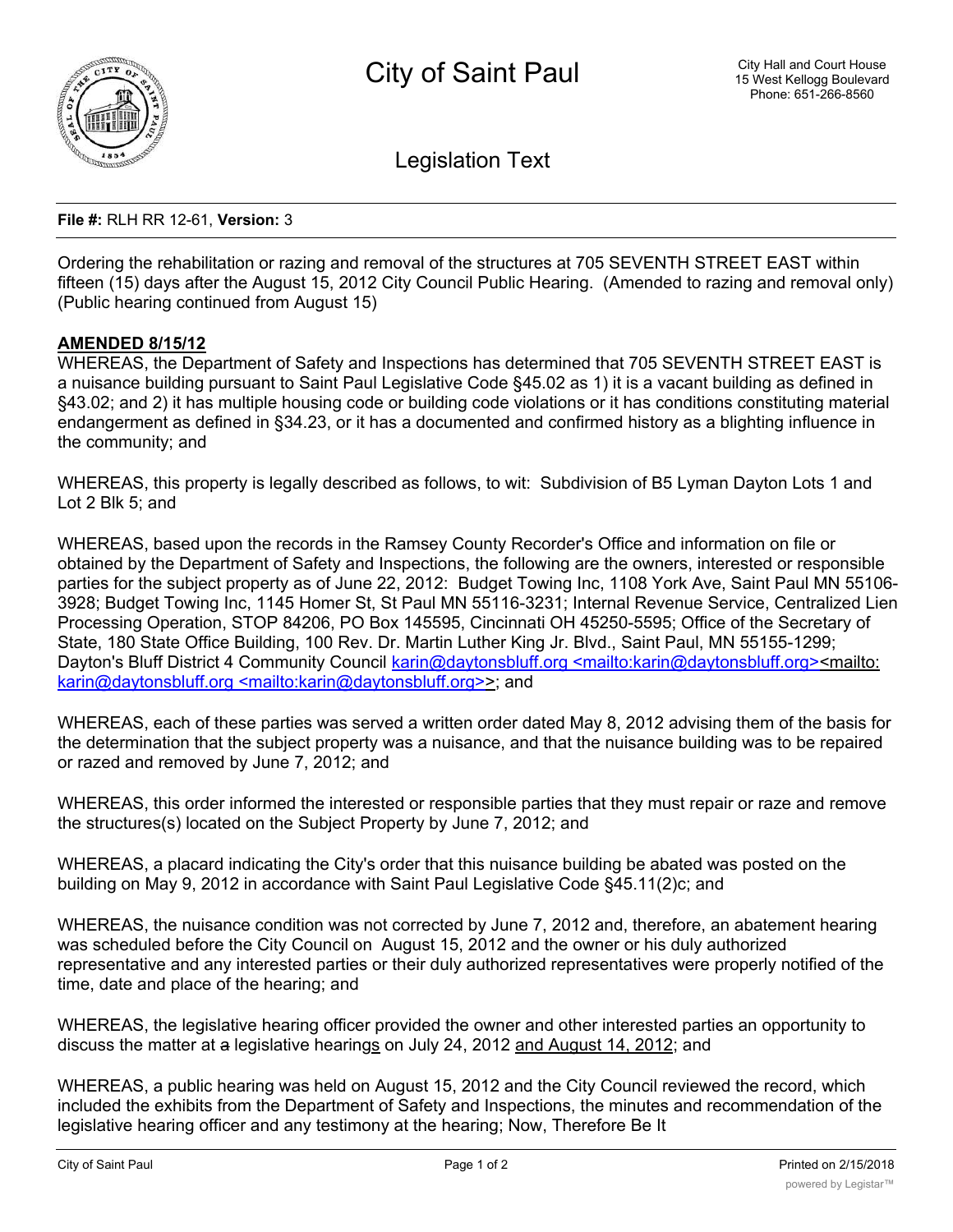

Legislation Text

## **File #:** RLH RR 12-61, **Version:** 3

Ordering the rehabilitation or razing and removal of the structures at 705 SEVENTH STREET EAST within fifteen (15) days after the August 15, 2012 City Council Public Hearing. (Amended to razing and removal only) (Public hearing continued from August 15)

## **AMENDED 8/15/12**

WHEREAS, the Department of Safety and Inspections has determined that 705 SEVENTH STREET EAST is a nuisance building pursuant to Saint Paul Legislative Code §45.02 as 1) it is a vacant building as defined in §43.02; and 2) it has multiple housing code or building code violations or it has conditions constituting material endangerment as defined in §34.23, or it has a documented and confirmed history as a blighting influence in the community; and

WHEREAS, this property is legally described as follows, to wit: Subdivision of B5 Lyman Dayton Lots 1 and Lot 2 Blk 5; and

WHEREAS, based upon the records in the Ramsey County Recorder's Office and information on file or obtained by the Department of Safety and Inspections, the following are the owners, interested or responsible parties for the subject property as of June 22, 2012: Budget Towing Inc, 1108 York Ave, Saint Paul MN 55106- 3928; Budget Towing Inc, 1145 Homer St, St Paul MN 55116-3231; Internal Revenue Service, Centralized Lien Processing Operation, STOP 84206, PO Box 145595, Cincinnati OH 45250-5595; Office of the Secretary of State, 180 State Office Building, 100 Rev. Dr. Martin Luther King Jr. Blvd., Saint Paul, MN 55155-1299; Dayton's Bluff District 4 Community Council karin@daytonsbluff.org <mailto:karin@daytonsbluff.org><mailto: karin@daytonsbluff.org <mailto:karin@daytonsbluff.org>>; and

WHEREAS, each of these parties was served a written order dated May 8, 2012 advising them of the basis for the determination that the subject property was a nuisance, and that the nuisance building was to be repaired or razed and removed by June 7, 2012; and

WHEREAS, this order informed the interested or responsible parties that they must repair or raze and remove the structures(s) located on the Subject Property by June 7, 2012; and

WHEREAS, a placard indicating the City's order that this nuisance building be abated was posted on the building on May 9, 2012 in accordance with Saint Paul Legislative Code §45.11(2)c; and

WHEREAS, the nuisance condition was not corrected by June 7, 2012 and, therefore, an abatement hearing was scheduled before the City Council on August 15, 2012 and the owner or his duly authorized representative and any interested parties or their duly authorized representatives were properly notified of the time, date and place of the hearing; and

WHEREAS, the legislative hearing officer provided the owner and other interested parties an opportunity to discuss the matter at a legislative hearings on July 24, 2012 and August 14, 2012; and

WHEREAS, a public hearing was held on August 15, 2012 and the City Council reviewed the record, which included the exhibits from the Department of Safety and Inspections, the minutes and recommendation of the legislative hearing officer and any testimony at the hearing; Now, Therefore Be It